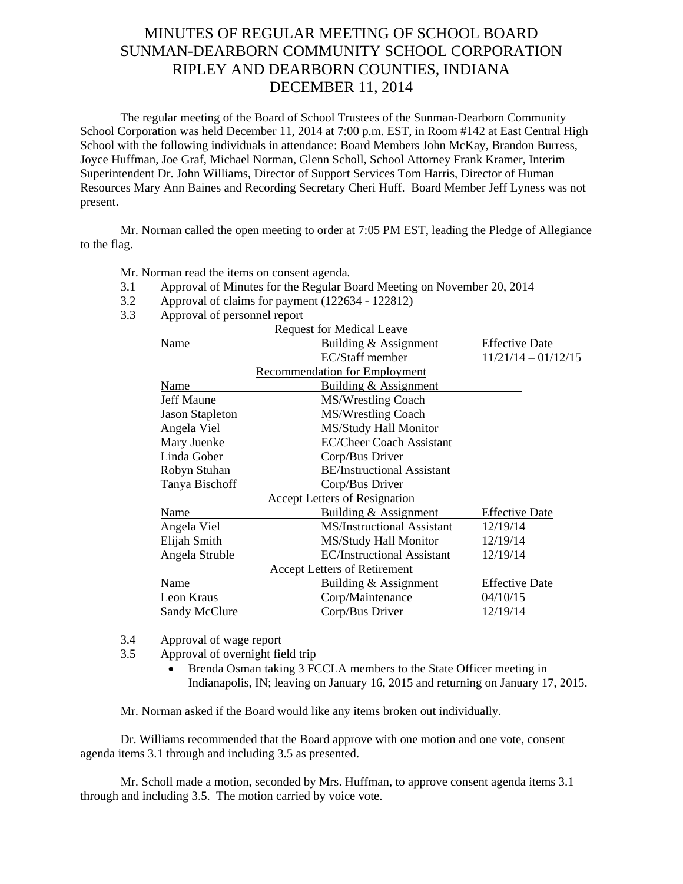## MINUTES OF REGULAR MEETING OF SCHOOL BOARD SUNMAN-DEARBORN COMMUNITY SCHOOL CORPORATION RIPLEY AND DEARBORN COUNTIES, INDIANA DECEMBER 11, 2014

The regular meeting of the Board of School Trustees of the Sunman-Dearborn Community School Corporation was held December 11, 2014 at 7:00 p.m. EST, in Room #142 at East Central High School with the following individuals in attendance: Board Members John McKay, Brandon Burress, Joyce Huffman, Joe Graf, Michael Norman, Glenn Scholl, School Attorney Frank Kramer, Interim Superintendent Dr. John Williams, Director of Support Services Tom Harris, Director of Human Resources Mary Ann Baines and Recording Secretary Cheri Huff. Board Member Jeff Lyness was not present.

Mr. Norman called the open meeting to order at 7:05 PM EST, leading the Pledge of Allegiance to the flag.

Mr. Norman read the items on consent agenda*.* 

- 3.1 Approval of Minutes for the Regular Board Meeting on November 20, 2014
- 3.2 Approval of claims for payment (122634 122812)
- 3.3 Approval of personnel report

|                        | <b>Request for Medical Leave</b>     |                       |
|------------------------|--------------------------------------|-----------------------|
| Name                   | Building & Assignment                | <b>Effective Date</b> |
|                        | EC/Staff member                      | $11/21/14 - 01/12/15$ |
|                        | <b>Recommendation for Employment</b> |                       |
| Name                   | Building & Assignment                |                       |
| <b>Jeff Maune</b>      | MS/Wrestling Coach                   |                       |
| <b>Jason Stapleton</b> | MS/Wrestling Coach                   |                       |
| Angela Viel            | MS/Study Hall Monitor                |                       |
| Mary Juenke            | <b>EC/Cheer Coach Assistant</b>      |                       |
| Linda Gober            | Corp/Bus Driver                      |                       |
| Robyn Stuhan           | <b>BE/Instructional Assistant</b>    |                       |
| Tanya Bischoff         | Corp/Bus Driver                      |                       |
|                        | <b>Accept Letters of Resignation</b> |                       |
| Name                   | Building & Assignment                | <b>Effective Date</b> |
| Angela Viel            | <b>MS/Instructional Assistant</b>    | 12/19/14              |
| Elijah Smith           | MS/Study Hall Monitor                | 12/19/14              |
| Angela Struble         | <b>EC/Instructional Assistant</b>    | 12/19/14              |
|                        | <b>Accept Letters of Retirement</b>  |                       |
| Name                   | Building & Assignment                | <b>Effective Date</b> |
| Leon Kraus             | Corp/Maintenance                     | 04/10/15              |
| <b>Sandy McClure</b>   | Corp/Bus Driver                      | 12/19/14              |
|                        |                                      |                       |

3.4 Approval of wage report

- 3.5 Approval of overnight field trip
	- Brenda Osman taking 3 FCCLA members to the State Officer meeting in Indianapolis, IN; leaving on January 16, 2015 and returning on January 17, 2015.

Mr. Norman asked if the Board would like any items broken out individually.

Dr. Williams recommended that the Board approve with one motion and one vote, consent agenda items 3.1 through and including 3.5 as presented.

Mr. Scholl made a motion, seconded by Mrs. Huffman, to approve consent agenda items 3.1 through and including 3.5. The motion carried by voice vote.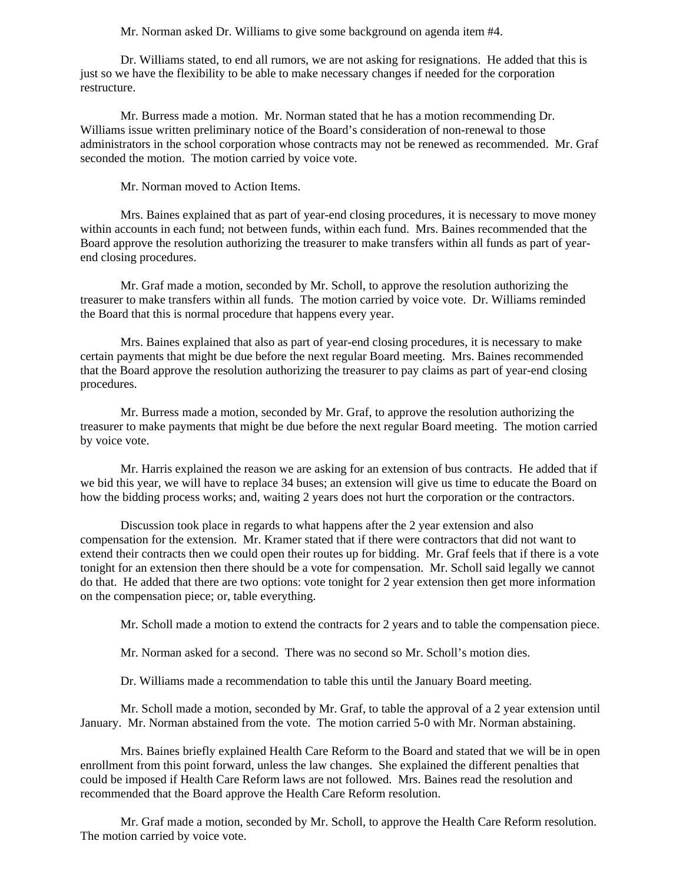Mr. Norman asked Dr. Williams to give some background on agenda item #4.

 Dr. Williams stated, to end all rumors, we are not asking for resignations. He added that this is just so we have the flexibility to be able to make necessary changes if needed for the corporation restructure.

 Mr. Burress made a motion. Mr. Norman stated that he has a motion recommending Dr. Williams issue written preliminary notice of the Board's consideration of non-renewal to those administrators in the school corporation whose contracts may not be renewed as recommended. Mr. Graf seconded the motion. The motion carried by voice vote.

Mr. Norman moved to Action Items.

Mrs. Baines explained that as part of year-end closing procedures, it is necessary to move money within accounts in each fund; not between funds, within each fund. Mrs. Baines recommended that the Board approve the resolution authorizing the treasurer to make transfers within all funds as part of yearend closing procedures.

Mr. Graf made a motion, seconded by Mr. Scholl, to approve the resolution authorizing the treasurer to make transfers within all funds. The motion carried by voice vote. Dr. Williams reminded the Board that this is normal procedure that happens every year.

Mrs. Baines explained that also as part of year-end closing procedures, it is necessary to make certain payments that might be due before the next regular Board meeting. Mrs. Baines recommended that the Board approve the resolution authorizing the treasurer to pay claims as part of year-end closing procedures.

Mr. Burress made a motion, seconded by Mr. Graf, to approve the resolution authorizing the treasurer to make payments that might be due before the next regular Board meeting. The motion carried by voice vote.

Mr. Harris explained the reason we are asking for an extension of bus contracts. He added that if we bid this year, we will have to replace 34 buses; an extension will give us time to educate the Board on how the bidding process works; and, waiting 2 years does not hurt the corporation or the contractors.

Discussion took place in regards to what happens after the 2 year extension and also compensation for the extension. Mr. Kramer stated that if there were contractors that did not want to extend their contracts then we could open their routes up for bidding. Mr. Graf feels that if there is a vote tonight for an extension then there should be a vote for compensation. Mr. Scholl said legally we cannot do that. He added that there are two options: vote tonight for 2 year extension then get more information on the compensation piece; or, table everything.

Mr. Scholl made a motion to extend the contracts for 2 years and to table the compensation piece.

Mr. Norman asked for a second. There was no second so Mr. Scholl's motion dies.

Dr. Williams made a recommendation to table this until the January Board meeting.

Mr. Scholl made a motion, seconded by Mr. Graf, to table the approval of a 2 year extension until January. Mr. Norman abstained from the vote. The motion carried 5-0 with Mr. Norman abstaining.

Mrs. Baines briefly explained Health Care Reform to the Board and stated that we will be in open enrollment from this point forward, unless the law changes. She explained the different penalties that could be imposed if Health Care Reform laws are not followed. Mrs. Baines read the resolution and recommended that the Board approve the Health Care Reform resolution.

 Mr. Graf made a motion, seconded by Mr. Scholl, to approve the Health Care Reform resolution. The motion carried by voice vote.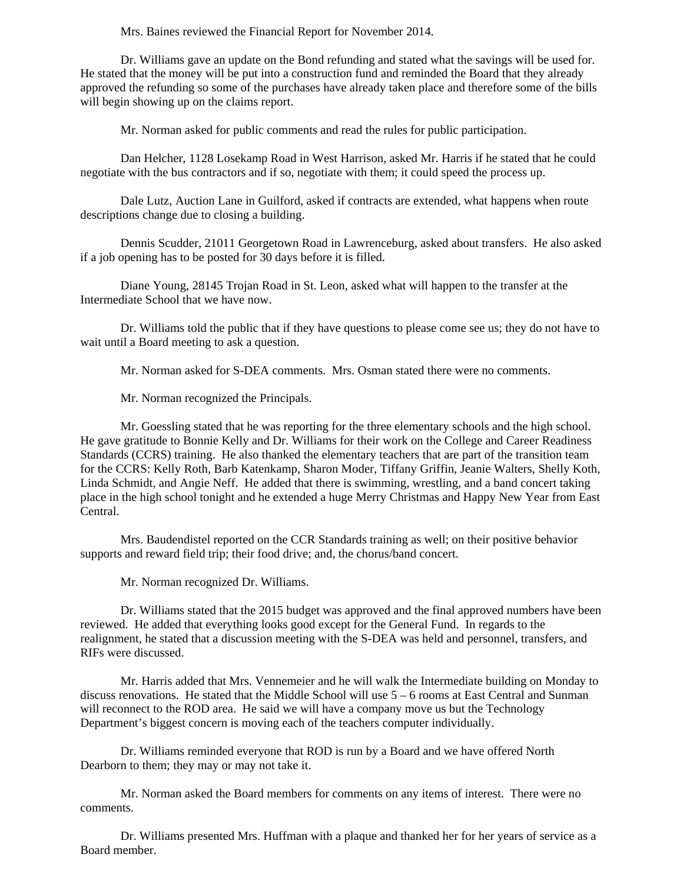Mrs. Baines reviewed the Financial Report for November 2014.

Dr. Williams gave an update on the Bond refunding and stated what the savings will be used for. He stated that the money will be put into a construction fund and reminded the Board that they already approved the refunding so some of the purchases have already taken place and therefore some of the bills will begin showing up on the claims report.

Mr. Norman asked for public comments and read the rules for public participation.

 Dan Helcher, 1128 Losekamp Road in West Harrison, asked Mr. Harris if he stated that he could negotiate with the bus contractors and if so, negotiate with them; it could speed the process up.

 Dale Lutz, Auction Lane in Guilford, asked if contracts are extended, what happens when route descriptions change due to closing a building.

 Dennis Scudder, 21011 Georgetown Road in Lawrenceburg, asked about transfers. He also asked if a job opening has to be posted for 30 days before it is filled.

 Diane Young, 28145 Trojan Road in St. Leon, asked what will happen to the transfer at the Intermediate School that we have now.

 Dr. Williams told the public that if they have questions to please come see us; they do not have to wait until a Board meeting to ask a question.

Mr. Norman asked for S-DEA comments. Mrs. Osman stated there were no comments.

Mr. Norman recognized the Principals.

 Mr. Goessling stated that he was reporting for the three elementary schools and the high school. He gave gratitude to Bonnie Kelly and Dr. Williams for their work on the College and Career Readiness Standards (CCRS) training. He also thanked the elementary teachers that are part of the transition team for the CCRS: Kelly Roth, Barb Katenkamp, Sharon Moder, Tiffany Griffin, Jeanie Walters, Shelly Koth, Linda Schmidt, and Angie Neff. He added that there is swimming, wrestling, and a band concert taking place in the high school tonight and he extended a huge Merry Christmas and Happy New Year from East Central.

 Mrs. Baudendistel reported on the CCR Standards training as well; on their positive behavior supports and reward field trip; their food drive; and, the chorus/band concert.

Mr. Norman recognized Dr. Williams.

Dr. Williams stated that the 2015 budget was approved and the final approved numbers have been reviewed. He added that everything looks good except for the General Fund. In regards to the realignment, he stated that a discussion meeting with the S-DEA was held and personnel, transfers, and RIFs were discussed.

Mr. Harris added that Mrs. Vennemeier and he will walk the Intermediate building on Monday to discuss renovations. He stated that the Middle School will use 5 – 6 rooms at East Central and Sunman will reconnect to the ROD area. He said we will have a company move us but the Technology Department's biggest concern is moving each of the teachers computer individually.

Dr. Williams reminded everyone that ROD is run by a Board and we have offered North Dearborn to them; they may or may not take it.

Mr. Norman asked the Board members for comments on any items of interest. There were no comments.

Dr. Williams presented Mrs. Huffman with a plaque and thanked her for her years of service as a Board member.